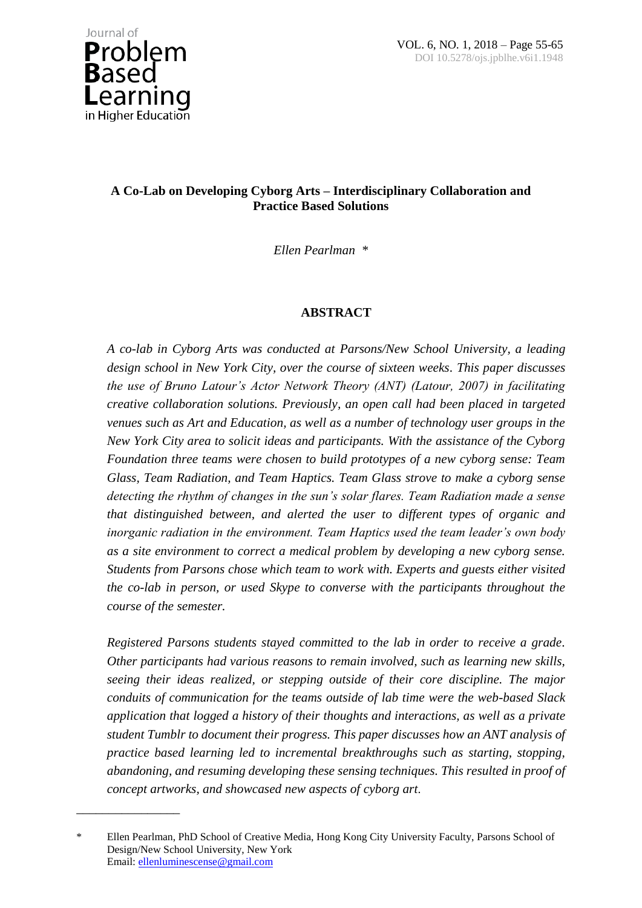\_\_\_\_\_\_\_\_\_\_\_\_\_\_\_\_

## **A Co-Lab on Developing Cyborg Arts – Interdisciplinary Collaboration and Practice Based Solutions**

*Ellen Pearlman \**

# **ABSTRACT**

*A co-lab in Cyborg Arts was conducted at Parsons/New School University, a leading design school in New York City, over the course of sixteen weeks. This paper discusses the use of Bruno Latour's Actor Network Theory (ANT) (Latour, 2007) in facilitating creative collaboration solutions. Previously, an open call had been placed in targeted venues such as Art and Education, as well as a number of technology user groups in the New York City area to solicit ideas and participants. With the assistance of the Cyborg Foundation three teams were chosen to build prototypes of a new cyborg sense: Team Glass, Team Radiation, and Team Haptics. Team Glass strove to make a cyborg sense detecting the rhythm of changes in the sun's solar flares. Team Radiation made a sense that distinguished between, and alerted the user to different types of organic and inorganic radiation in the environment. Team Haptics used the team leader's own body as a site environment to correct a medical problem by developing a new cyborg sense. Students from Parsons chose which team to work with. Experts and guests either visited the co-lab in person, or used Skype to converse with the participants throughout the course of the semester.* 

*Registered Parsons students stayed committed to the lab in order to receive a grade. Other participants had various reasons to remain involved, such as learning new skills, seeing their ideas realized, or stepping outside of their core discipline. The major conduits of communication for the teams outside of lab time were the web-based Slack application that logged a history of their thoughts and interactions, as well as a private student Tumblr to document their progress. This paper discusses how an ANT analysis of practice based learning led to incremental breakthroughs such as starting, stopping, abandoning, and resuming developing these sensing techniques. This resulted in proof of concept artworks, and showcased new aspects of cyborg art*.

<sup>\*</sup> Ellen Pearlman, PhD School of Creative Media, Hong Kong City University Faculty, Parsons School of Design/New School University, New York Email: [ellenluminescense@gmail.com](mailto:ellenluminescense@gmail.com)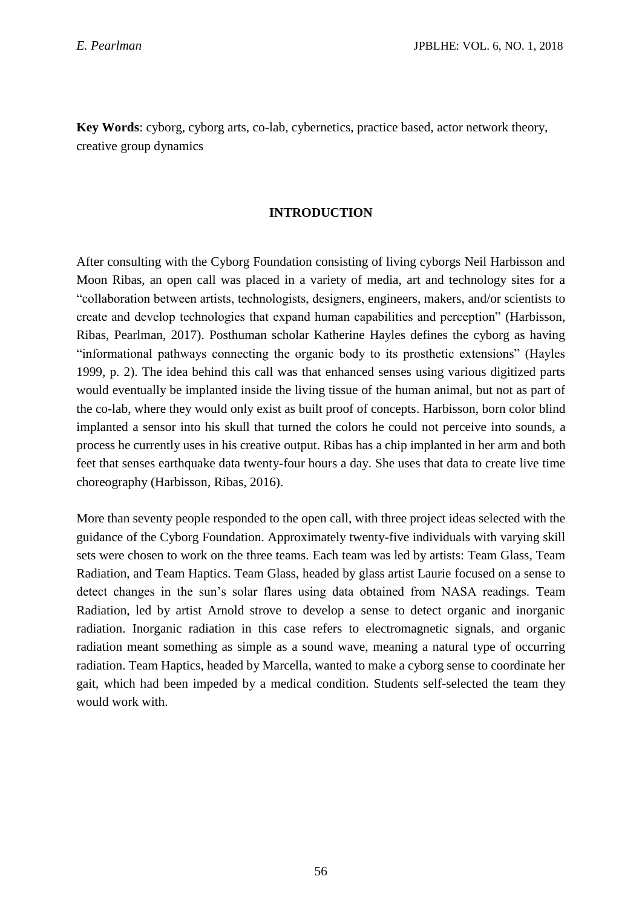**Key Words**: cyborg, cyborg arts, co-lab, cybernetics, practice based, actor network theory, creative group dynamics

#### **INTRODUCTION**

After consulting with the Cyborg Foundation consisting of living cyborgs Neil Harbisson and Moon Ribas, an open call was placed in a variety of media, art and technology sites for a "collaboration between artists, technologists, designers, engineers, makers, and/or scientists to create and develop technologies that expand human capabilities and perception" (Harbisson, Ribas, Pearlman, 2017). Posthuman scholar Katherine Hayles defines the cyborg as having "informational pathways connecting the organic body to its prosthetic extensions" (Hayles 1999, p. 2). The idea behind this call was that enhanced senses using various digitized parts would eventually be implanted inside the living tissue of the human animal, but not as part of the co-lab, where they would only exist as built proof of concepts. Harbisson, born color blind implanted a sensor into his skull that turned the colors he could not perceive into sounds, a process he currently uses in his creative output. Ribas has a chip implanted in her arm and both feet that senses earthquake data twenty-four hours a day. She uses that data to create live time choreography (Harbisson, Ribas, 2016).

More than seventy people responded to the open call, with three project ideas selected with the guidance of the Cyborg Foundation. Approximately twenty-five individuals with varying skill sets were chosen to work on the three teams. Each team was led by artists: Team Glass, Team Radiation, and Team Haptics. Team Glass, headed by glass artist Laurie focused on a sense to detect changes in the sun's solar flares using data obtained from NASA readings. Team Radiation, led by artist Arnold strove to develop a sense to detect organic and inorganic radiation. Inorganic radiation in this case refers to electromagnetic signals, and organic radiation meant something as simple as a sound wave, meaning a natural type of occurring radiation. Team Haptics, headed by Marcella, wanted to make a cyborg sense to coordinate her gait, which had been impeded by a medical condition. Students self-selected the team they would work with.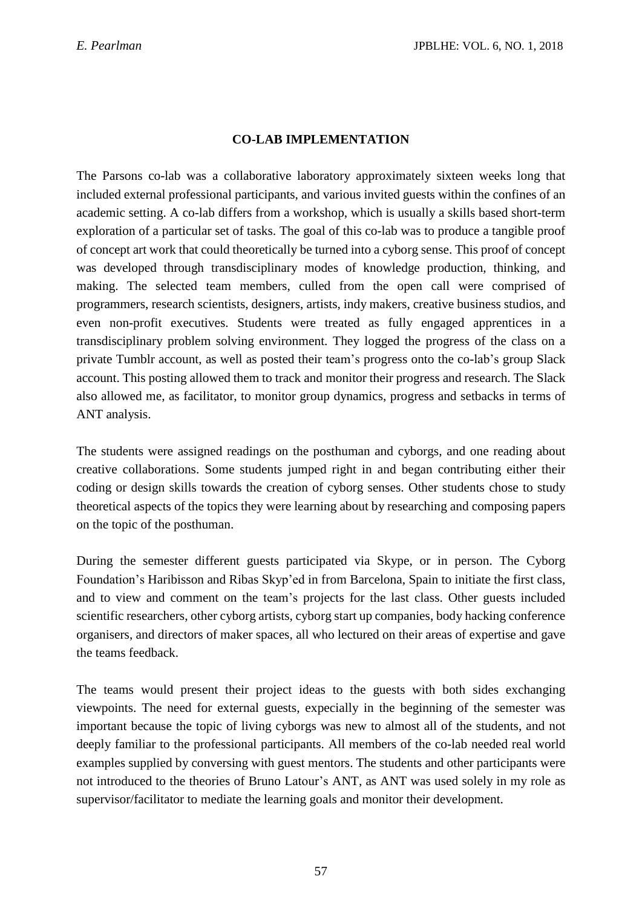## **CO-LAB IMPLEMENTATION**

The Parsons co-lab was a collaborative laboratory approximately sixteen weeks long that included external professional participants, and various invited guests within the confines of an academic setting. A co-lab differs from a workshop, which is usually a skills based short-term exploration of a particular set of tasks. The goal of this co-lab was to produce a tangible proof of concept art work that could theoretically be turned into a cyborg sense. This proof of concept was developed through transdisciplinary modes of knowledge production, thinking, and making. The selected team members, culled from the open call were comprised of programmers, research scientists, designers, artists, indy makers, creative business studios, and even non-profit executives. Students were treated as fully engaged apprentices in a transdisciplinary problem solving environment. They logged the progress of the class on a private Tumblr account, as well as posted their team's progress onto the co-lab's group Slack account. This posting allowed them to track and monitor their progress and research. The Slack also allowed me, as facilitator, to monitor group dynamics, progress and setbacks in terms of ANT analysis.

The students were assigned readings on the posthuman and cyborgs, and one reading about creative collaborations. Some students jumped right in and began contributing either their coding or design skills towards the creation of cyborg senses. Other students chose to study theoretical aspects of the topics they were learning about by researching and composing papers on the topic of the posthuman.

During the semester different guests participated via Skype, or in person. The Cyborg Foundation's Haribisson and Ribas Skyp'ed in from Barcelona, Spain to initiate the first class, and to view and comment on the team's projects for the last class. Other guests included scientific researchers, other cyborg artists, cyborg start up companies, body hacking conference organisers, and directors of maker spaces, all who lectured on their areas of expertise and gave the teams feedback.

The teams would present their project ideas to the guests with both sides exchanging viewpoints. The need for external guests, expecially in the beginning of the semester was important because the topic of living cyborgs was new to almost all of the students, and not deeply familiar to the professional participants. All members of the co-lab needed real world examples supplied by conversing with guest mentors. The students and other participants were not introduced to the theories of Bruno Latour's ANT, as ANT was used solely in my role as supervisor/facilitator to mediate the learning goals and monitor their development.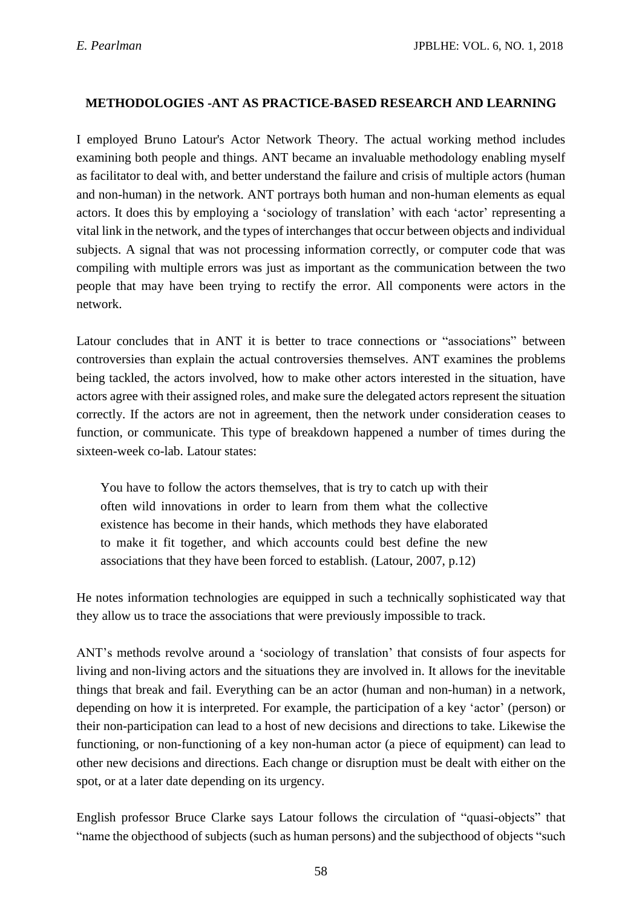#### **METHODOLOGIES -ANT AS PRACTICE-BASED RESEARCH AND LEARNING**

I employed Bruno Latour's Actor Network Theory. The actual working method includes examining both people and things. ANT became an invaluable methodology enabling myself as facilitator to deal with, and better understand the failure and crisis of multiple actors (human and non-human) in the network. ANT portrays both human and non-human elements as equal actors. It does this by employing a 'sociology of translation' with each 'actor' representing a vital link in the network, and the types of interchanges that occur between objects and individual subjects. A signal that was not processing information correctly, or computer code that was compiling with multiple errors was just as important as the communication between the two people that may have been trying to rectify the error. All components were actors in the network.

Latour concludes that in ANT it is better to trace connections or "associations" between controversies than explain the actual controversies themselves. ANT examines the problems being tackled, the actors involved, how to make other actors interested in the situation, have actors agree with their assigned roles, and make sure the delegated actors represent the situation correctly. If the actors are not in agreement, then the network under consideration ceases to function, or communicate. This type of breakdown happened a number of times during the sixteen-week co-lab. Latour states:

You have to follow the actors themselves, that is try to catch up with their often wild innovations in order to learn from them what the collective existence has become in their hands, which methods they have elaborated to make it fit together, and which accounts could best define the new associations that they have been forced to establish. (Latour, 2007, p.12)

He notes information technologies are equipped in such a technically sophisticated way that they allow us to trace the associations that were previously impossible to track.

ANT's methods revolve around a 'sociology of translation' that consists of four aspects for living and non-living actors and the situations they are involved in. It allows for the inevitable things that break and fail. Everything can be an actor (human and non-human) in a network, depending on how it is interpreted. For example, the participation of a key 'actor' (person) or their non-participation can lead to a host of new decisions and directions to take. Likewise the functioning, or non-functioning of a key non-human actor (a piece of equipment) can lead to other new decisions and directions. Each change or disruption must be dealt with either on the spot, or at a later date depending on its urgency.

English professor Bruce Clarke says Latour follows the circulation of "quasi-objects" that "name the objecthood of subjects (such as human persons) and the subjecthood of objects "such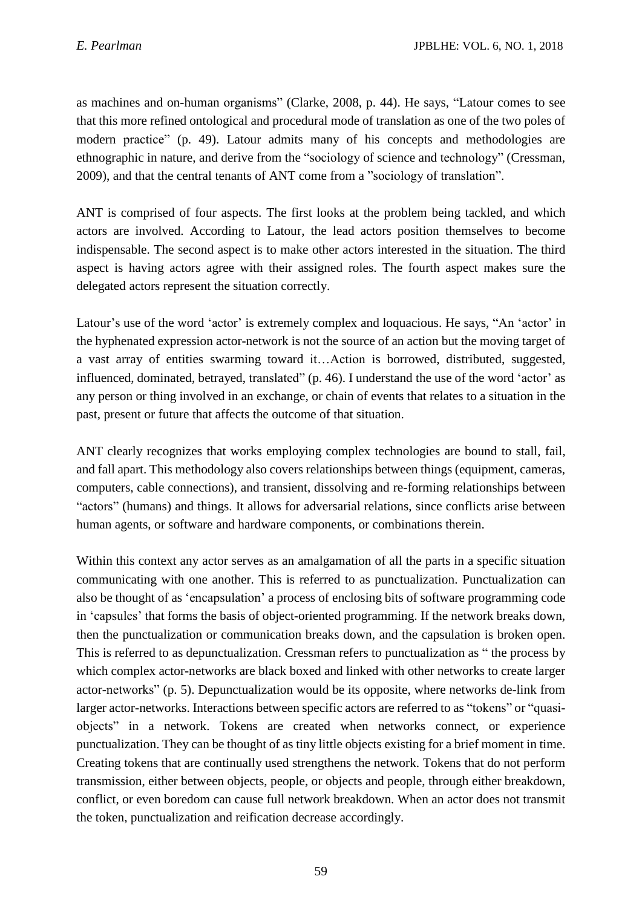as machines and on-human organisms" (Clarke, 2008, p. 44). He says, "Latour comes to see that this more refined ontological and procedural mode of translation as one of the two poles of modern practice" (p. 49). Latour admits many of his concepts and methodologies are ethnographic in nature, and derive from the "sociology of science and technology" (Cressman, 2009), and that the central tenants of ANT come from a "sociology of translation".

ANT is comprised of four aspects. The first looks at the problem being tackled, and which actors are involved. According to Latour, the lead actors position themselves to become indispensable. The second aspect is to make other actors interested in the situation. The third aspect is having actors agree with their assigned roles. The fourth aspect makes sure the delegated actors represent the situation correctly.

Latour's use of the word 'actor' is extremely complex and loquacious. He says, "An 'actor' in the hyphenated expression actor-network is not the source of an action but the moving target of a vast array of entities swarming toward it…Action is borrowed, distributed, suggested, influenced, dominated, betrayed, translated" (p. 46). I understand the use of the word 'actor' as any person or thing involved in an exchange, or chain of events that relates to a situation in the past, present or future that affects the outcome of that situation.

ANT clearly recognizes that works employing complex technologies are bound to stall, fail, and fall apart. This methodology also covers relationships between things (equipment, cameras, computers, cable connections), and transient, dissolving and re-forming relationships between "actors" (humans) and things. It allows for adversarial relations, since conflicts arise between human agents, or software and hardware components, or combinations therein.

Within this context any actor serves as an amalgamation of all the parts in a specific situation communicating with one another. This is referred to as punctualization. Punctualization can also be thought of as 'encapsulation' a process of enclosing bits of software programming code in 'capsules' that forms the basis of object-oriented programming. If the network breaks down, then the punctualization or communication breaks down, and the capsulation is broken open. This is referred to as depunctualization. Cressman refers to punctualization as " the process by which complex actor-networks are black boxed and linked with other networks to create larger actor-networks" (p. 5). Depunctualization would be its opposite, where networks de-link from larger actor-networks. Interactions between specific actors are referred to as "tokens" or "quasiobjects" in a network. Tokens are created when networks connect, or experience punctualization. They can be thought of as tiny little objects existing for a brief moment in time. Creating tokens that are continually used strengthens the network. Tokens that do not perform transmission, either between objects, people, or objects and people, through either breakdown, conflict, or even boredom can cause full network breakdown. When an actor does not transmit the token, punctualization and reification decrease accordingly.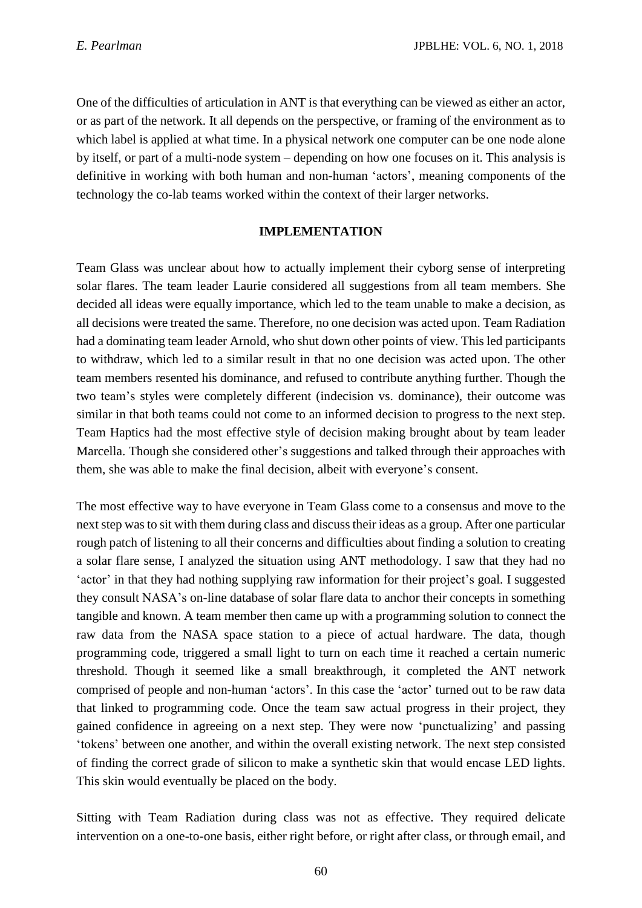One of the difficulties of articulation in ANT is that everything can be viewed as either an actor, or as part of the network. It all depends on the perspective, or framing of the environment as to which label is applied at what time. In a physical network one computer can be one node alone by itself, or part of a multi-node system – depending on how one focuses on it. This analysis is definitive in working with both human and non-human 'actors', meaning components of the technology the co-lab teams worked within the context of their larger networks.

#### **IMPLEMENTATION**

Team Glass was unclear about how to actually implement their cyborg sense of interpreting solar flares. The team leader Laurie considered all suggestions from all team members. She decided all ideas were equally importance, which led to the team unable to make a decision, as all decisions were treated the same. Therefore, no one decision was acted upon. Team Radiation had a dominating team leader Arnold, who shut down other points of view. This led participants to withdraw, which led to a similar result in that no one decision was acted upon. The other team members resented his dominance, and refused to contribute anything further. Though the two team's styles were completely different (indecision vs. dominance), their outcome was similar in that both teams could not come to an informed decision to progress to the next step. Team Haptics had the most effective style of decision making brought about by team leader Marcella. Though she considered other's suggestions and talked through their approaches with them, she was able to make the final decision, albeit with everyone's consent.

The most effective way to have everyone in Team Glass come to a consensus and move to the next step was to sit with them during class and discuss their ideas as a group. After one particular rough patch of listening to all their concerns and difficulties about finding a solution to creating a solar flare sense, I analyzed the situation using ANT methodology. I saw that they had no 'actor' in that they had nothing supplying raw information for their project's goal. I suggested they consult NASA's on-line database of solar flare data to anchor their concepts in something tangible and known. A team member then came up with a programming solution to connect the raw data from the NASA space station to a piece of actual hardware. The data, though programming code, triggered a small light to turn on each time it reached a certain numeric threshold. Though it seemed like a small breakthrough, it completed the ANT network comprised of people and non-human 'actors'. In this case the 'actor' turned out to be raw data that linked to programming code. Once the team saw actual progress in their project, they gained confidence in agreeing on a next step. They were now 'punctualizing' and passing 'tokens' between one another, and within the overall existing network. The next step consisted of finding the correct grade of silicon to make a synthetic skin that would encase LED lights. This skin would eventually be placed on the body.

Sitting with Team Radiation during class was not as effective. They required delicate intervention on a one-to-one basis, either right before, or right after class, or through email, and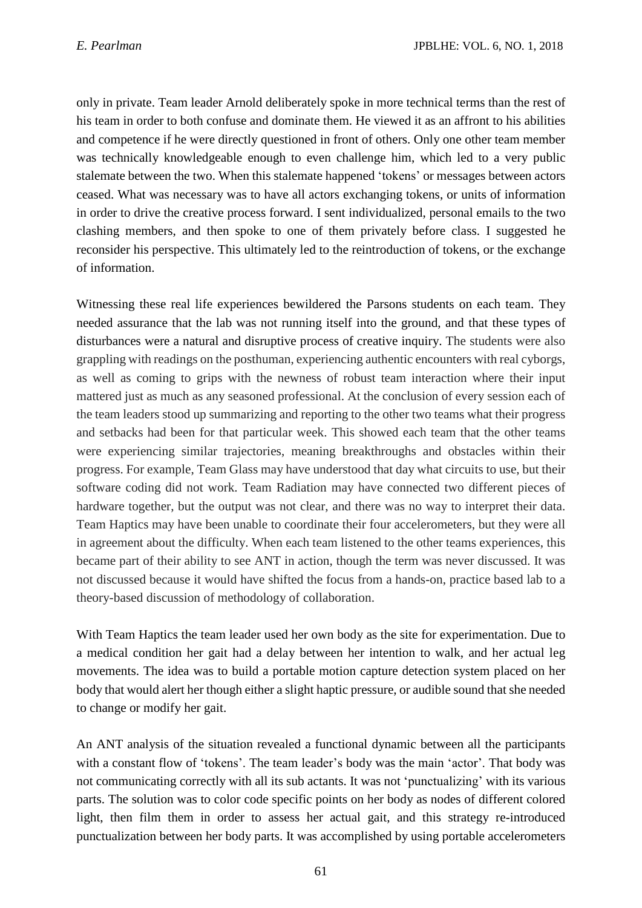only in private. Team leader Arnold deliberately spoke in more technical terms than the rest of his team in order to both confuse and dominate them. He viewed it as an affront to his abilities and competence if he were directly questioned in front of others. Only one other team member was technically knowledgeable enough to even challenge him, which led to a very public stalemate between the two. When this stalemate happened 'tokens' or messages between actors ceased. What was necessary was to have all actors exchanging tokens, or units of information in order to drive the creative process forward. I sent individualized, personal emails to the two clashing members, and then spoke to one of them privately before class. I suggested he reconsider his perspective. This ultimately led to the reintroduction of tokens, or the exchange of information.

Witnessing these real life experiences bewildered the Parsons students on each team. They needed assurance that the lab was not running itself into the ground, and that these types of disturbances were a natural and disruptive process of creative inquiry. The students were also grappling with readings on the posthuman, experiencing authentic encounters with real cyborgs, as well as coming to grips with the newness of robust team interaction where their input mattered just as much as any seasoned professional. At the conclusion of every session each of the team leaders stood up summarizing and reporting to the other two teams what their progress and setbacks had been for that particular week. This showed each team that the other teams were experiencing similar trajectories, meaning breakthroughs and obstacles within their progress. For example, Team Glass may have understood that day what circuits to use, but their software coding did not work. Team Radiation may have connected two different pieces of hardware together, but the output was not clear, and there was no way to interpret their data. Team Haptics may have been unable to coordinate their four accelerometers, but they were all in agreement about the difficulty. When each team listened to the other teams experiences, this became part of their ability to see ANT in action, though the term was never discussed. It was not discussed because it would have shifted the focus from a hands-on, practice based lab to a theory-based discussion of methodology of collaboration.

With Team Haptics the team leader used her own body as the site for experimentation. Due to a medical condition her gait had a delay between her intention to walk, and her actual leg movements. The idea was to build a portable motion capture detection system placed on her body that would alert her though either a slight haptic pressure, or audible sound that she needed to change or modify her gait.

An ANT analysis of the situation revealed a functional dynamic between all the participants with a constant flow of 'tokens'. The team leader's body was the main 'actor'. That body was not communicating correctly with all its sub actants. It was not 'punctualizing' with its various parts. The solution was to color code specific points on her body as nodes of different colored light, then film them in order to assess her actual gait, and this strategy re-introduced punctualization between her body parts. It was accomplished by using portable accelerometers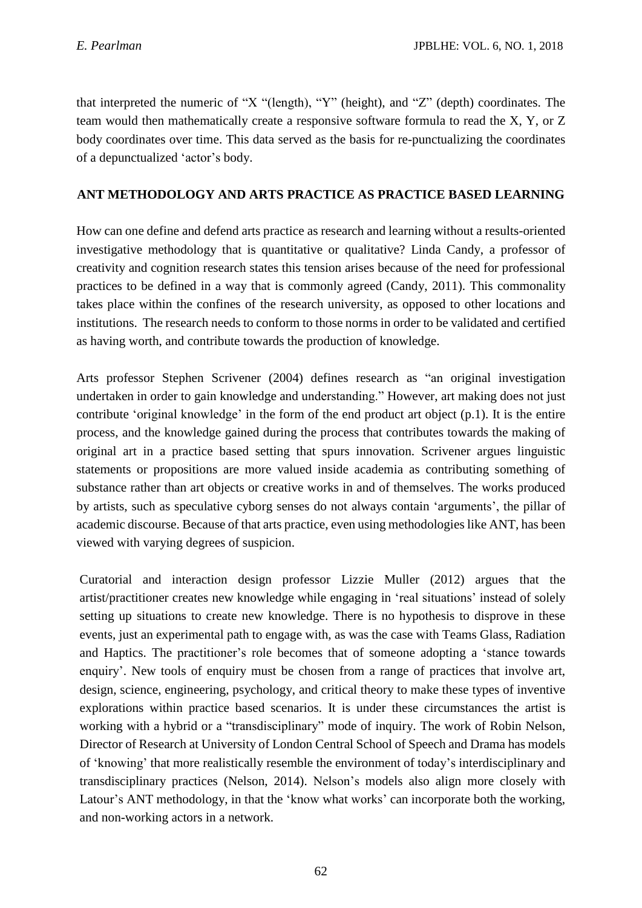that interpreted the numeric of "X "(length), "Y" (height), and "Z" (depth) coordinates. The team would then mathematically create a responsive software formula to read the X, Y, or Z body coordinates over time. This data served as the basis for re-punctualizing the coordinates of a depunctualized 'actor's body.

### **ANT METHODOLOGY AND ARTS PRACTICE AS PRACTICE BASED LEARNING**

How can one define and defend arts practice as research and learning without a results-oriented investigative methodology that is quantitative or qualitative? Linda Candy, a professor of creativity and cognition research states this tension arises because of the need for professional practices to be defined in a way that is commonly agreed (Candy, 2011). This commonality takes place within the confines of the research university, as opposed to other locations and institutions. The research needs to conform to those norms in order to be validated and certified as having worth, and contribute towards the production of knowledge.

Arts professor Stephen Scrivener (2004) defines research as "an original investigation undertaken in order to gain knowledge and understanding." However, art making does not just contribute 'original knowledge' in the form of the end product art object (p.1). It is the entire process, and the knowledge gained during the process that contributes towards the making of original art in a practice based setting that spurs innovation. Scrivener argues linguistic statements or propositions are more valued inside academia as contributing something of substance rather than art objects or creative works in and of themselves. The works produced by artists, such as speculative cyborg senses do not always contain 'arguments', the pillar of academic discourse. Because of that arts practice, even using methodologies like ANT, has been viewed with varying degrees of suspicion.

Curatorial and interaction design professor Lizzie Muller (2012) argues that the artist/practitioner creates new knowledge while engaging in 'real situations' instead of solely setting up situations to create new knowledge. There is no hypothesis to disprove in these events, just an experimental path to engage with, as was the case with Teams Glass, Radiation and Haptics. The practitioner's role becomes that of someone adopting a 'stance towards enquiry'. New tools of enquiry must be chosen from a range of practices that involve art, design, science, engineering, psychology, and critical theory to make these types of inventive explorations within practice based scenarios. It is under these circumstances the artist is working with a hybrid or a "transdisciplinary" mode of inquiry. The work of Robin Nelson, Director of Research at University of London Central School of Speech and Drama has models of 'knowing' that more realistically resemble the environment of today's interdisciplinary and transdisciplinary practices (Nelson, 2014). Nelson's models also align more closely with Latour's ANT methodology, in that the 'know what works' can incorporate both the working, and non-working actors in a network.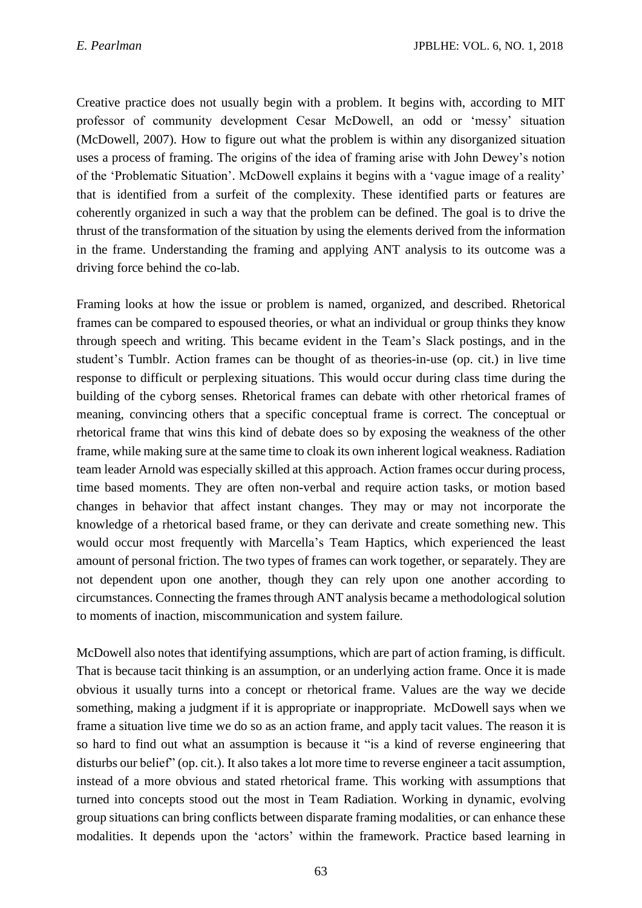Creative practice does not usually begin with a problem. It begins with, according to MIT professor of community development Cesar McDowell, an odd or 'messy' situation (McDowell, 2007). How to figure out what the problem is within any disorganized situation uses a process of framing. The origins of the idea of framing arise with John Dewey's notion of the 'Problematic Situation'. McDowell explains it begins with a 'vague image of a reality' that is identified from a surfeit of the complexity. These identified parts or features are coherently organized in such a way that the problem can be defined. The goal is to drive the thrust of the transformation of the situation by using the elements derived from the information in the frame. Understanding the framing and applying ANT analysis to its outcome was a driving force behind the co-lab.

Framing looks at how the issue or problem is named, organized, and described. Rhetorical frames can be compared to espoused theories, or what an individual or group thinks they know through speech and writing. This became evident in the Team's Slack postings, and in the student's Tumblr. Action frames can be thought of as theories-in-use (op. cit.) in live time response to difficult or perplexing situations. This would occur during class time during the building of the cyborg senses. Rhetorical frames can debate with other rhetorical frames of meaning, convincing others that a specific conceptual frame is correct. The conceptual or rhetorical frame that wins this kind of debate does so by exposing the weakness of the other frame, while making sure at the same time to cloak its own inherent logical weakness. Radiation team leader Arnold was especially skilled at this approach. Action frames occur during process, time based moments. They are often non-verbal and require action tasks, or motion based changes in behavior that affect instant changes. They may or may not incorporate the knowledge of a rhetorical based frame, or they can derivate and create something new. This would occur most frequently with Marcella's Team Haptics, which experienced the least amount of personal friction. The two types of frames can work together, or separately. They are not dependent upon one another, though they can rely upon one another according to circumstances. Connecting the frames through ANT analysis became a methodological solution to moments of inaction, miscommunication and system failure.

McDowell also notes that identifying assumptions, which are part of action framing, is difficult. That is because tacit thinking is an assumption, or an underlying action frame. Once it is made obvious it usually turns into a concept or rhetorical frame. Values are the way we decide something, making a judgment if it is appropriate or inappropriate. McDowell says when we frame a situation live time we do so as an action frame, and apply tacit values. The reason it is so hard to find out what an assumption is because it "is a kind of reverse engineering that disturbs our belief" (op. cit.). It also takes a lot more time to reverse engineer a tacit assumption, instead of a more obvious and stated rhetorical frame. This working with assumptions that turned into concepts stood out the most in Team Radiation. Working in dynamic, evolving group situations can bring conflicts between disparate framing modalities, or can enhance these modalities. It depends upon the 'actors' within the framework. Practice based learning in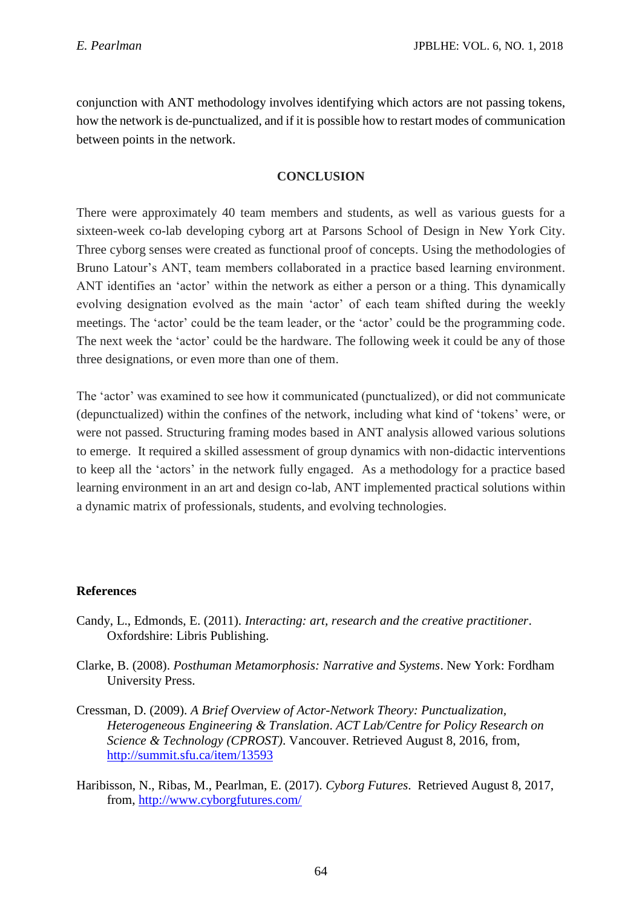conjunction with ANT methodology involves identifying which actors are not passing tokens, how the network is de-punctualized, and if it is possible how to restart modes of communication between points in the network.

### **CONCLUSION**

There were approximately 40 team members and students, as well as various guests for a sixteen-week co-lab developing cyborg art at Parsons School of Design in New York City. Three cyborg senses were created as functional proof of concepts. Using the methodologies of Bruno Latour's ANT, team members collaborated in a practice based learning environment. ANT identifies an 'actor' within the network as either a person or a thing. This dynamically evolving designation evolved as the main 'actor' of each team shifted during the weekly meetings. The 'actor' could be the team leader, or the 'actor' could be the programming code. The next week the 'actor' could be the hardware. The following week it could be any of those three designations, or even more than one of them.

The 'actor' was examined to see how it communicated (punctualized), or did not communicate (depunctualized) within the confines of the network, including what kind of 'tokens' were, or were not passed. Structuring framing modes based in ANT analysis allowed various solutions to emerge. It required a skilled assessment of group dynamics with non-didactic interventions to keep all the 'actors' in the network fully engaged. As a methodology for a practice based learning environment in an art and design co-lab, ANT implemented practical solutions within a dynamic matrix of professionals, students, and evolving technologies.

#### **References**

- Candy, L., Edmonds, E. (2011). *Interacting: art, research and the creative practitioner*. Oxfordshire: Libris Publishing.
- Clarke, B. (2008). *Posthuman Metamorphosis: Narrative and Systems*. New York: Fordham University Press.
- Cressman, D. (2009). *A Brief Overview of Actor-Network Theory: Punctualization, Heterogeneous Engineering & Translation*. *ACT Lab/Centre for Policy Research on Science & Technology (CPROST)*. Vancouver. Retrieved August 8, 2016, from, <http://summit.sfu.ca/item/13593>
- Haribisson, N., Ribas, M., Pearlman, E. (2017). *Cyborg Futures*. Retrieved August 8, 2017, from,<http://www.cyborgfutures.com/>